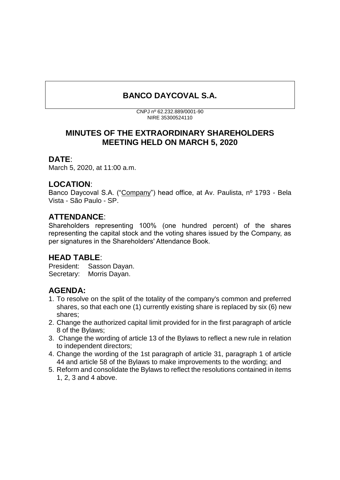# **BANCO DAYCOVAL S.A.**

CNPJ nº 62.232.889/0001-90 NIRE 35300524110

## **MINUTES OF THE EXTRAORDINARY SHAREHOLDERS MEETING HELD ON MARCH 5, 2020**

#### **DATE**:

March 5, 2020, at 11:00 a.m.

## **LOCATION**:

Banco Daycoval S.A. ("Company") head office, at Av. Paulista, nº 1793 - Bela Vista - São Paulo - SP.

# **ATTENDANCE**:

Shareholders representing 100% (one hundred percent) of the shares representing the capital stock and the voting shares issued by the Company, as per signatures in the Shareholders' Attendance Book.

# **HEAD TABLE**:

President: Sasson Dayan. Secretary: Morris Dayan.

# **AGENDA:**

- 1. To resolve on the split of the totality of the company's common and preferred shares, so that each one (1) currently existing share is replaced by six (6) new shares;
- 2. Change the authorized capital limit provided for in the first paragraph of article 8 of the Bylaws;
- 3. Change the wording of article 13 of the Bylaws to reflect a new rule in relation to independent directors;
- 4. Change the wording of the 1st paragraph of article 31, paragraph 1 of article 44 and article 58 of the Bylaws to make improvements to the wording; and
- 5. Reform and consolidate the Bylaws to reflect the resolutions contained in items 1, 2, 3 and 4 above.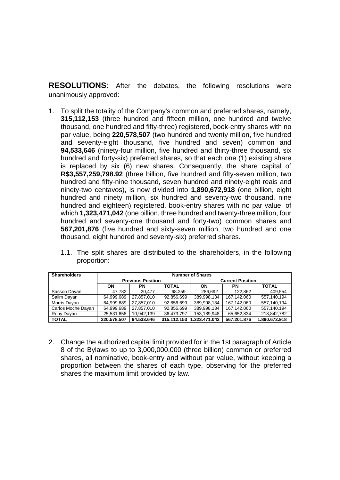**RESOLUTIONS**: After the debates, the following resolutions were unanimously approved:

1. To split the totality of the Company's common and preferred shares, namely, **315,112,153** (three hundred and fifteen million, one hundred and twelve thousand, one hundred and fifty-three) registered, book-entry shares with no par value, being **220,578,507** (two hundred and twenty million, five hundred and seventy-eight thousand, five hundred and seven) common and **94,533,646** (ninety-four million, five hundred and thirty-three thousand, six hundred and forty-six) preferred shares, so that each one (1) existing share is replaced by six (6) new shares. Consequently, the share capital of **R\$3,557,259,798.92** (three billion, five hundred and fifty-seven million, two hundred and fifty-nine thousand, seven hundred and ninety-eight reais and ninety-two centavos), is now divided into **1,890,672,918** (one billion, eight hundred and ninety million, six hundred and seventy-two thousand, nine hundred and eighteen) registered, book-entry shares with no par value, of which **1,323,471,042** (one billion, three hundred and twenty-three million, four hundred and seventy-one thousand and forty-two) common shares and **567,201,876** (five hundred and sixty-seven million, two hundred and one thousand, eight hundred and seventy-six) preferred shares.

| <b>Shareholders</b> | <b>Number of Shares</b>  |            |              |                         |             |               |
|---------------------|--------------------------|------------|--------------|-------------------------|-------------|---------------|
|                     | <b>Previous Position</b> |            |              | <b>Current Position</b> |             |               |
|                     | ON                       | ΡN         | <b>TOTAL</b> | ON                      | PN          | <b>TOTAL</b>  |
| Sasson Davan        | 47.782                   | 20.477     | 68.259       | 286.692                 | 122.862     | 409.554       |
| Salim Dayan         | 64.999.689               | 27.857.010 | 92.856.699   | 389.998.134             | 167.142.060 | 557,140,194   |
| Morris Dayan        | 64,999,689               | 27,857,010 | 92.856.699   | 389,998,134             | 167,142,060 | 557,140,194   |
| Carlos Moche Dayan  | 64,999,689               | 27.857.010 | 92.856.699   | 389,998,134             | 167.142.060 | 557,140,194   |
| Rony Dayan          | 25,531,658               | 10.942.139 | 36.473.797   | 153,189,948             | 65,652,834  | 218,842,782   |
| <b>TOTAL</b>        | 220.578.507              | 94.533.646 | 315.112.153  | 1.323.471.042           | 567.201.876 | 1.890.672.918 |

1.1. The split shares are distributed to the shareholders, in the following proportion:

2. Change the authorized capital limit provided for in the 1st paragraph of Article 8 of the Bylaws to up to 3,000,000,000 (three billion) common or preferred shares, all nominative, book-entry and without par value, without keeping a proportion between the shares of each type, observing for the preferred shares the maximum limit provided by law.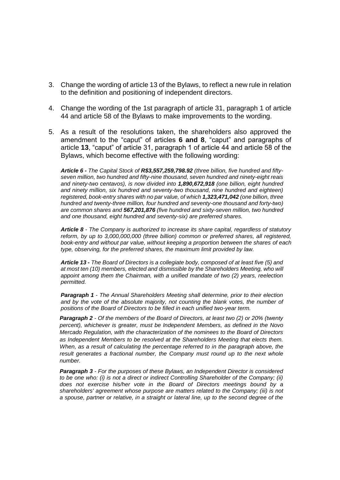- 3. Change the wording of article 13 of the Bylaws, to reflect a new rule in relation to the definition and positioning of independent directors.
- 4. Change the wording of the 1st paragraph of article 31, paragraph 1 of article 44 and article 58 of the Bylaws to make improvements to the wording.
- 5. As a result of the resolutions taken, the shareholders also approved the amendment to the "caput" of articles **6 and 8**, "caput" and paragraphs of article **13**, "caput" of article 31, paragraph 1 of article 44 and article 58 of the Bylaws, which become effective with the following wording:

*Article 6 - The Capital Stock of R\$3,557,259,798.92 (three billion, five hundred and fiftyseven million, two hundred and fifty-nine thousand, seven hundred and ninety-eight reais and ninety-two centavos), is now divided into 1,890,672,918 (one billion, eight hundred*  and ninety million, six hundred and seventy-two thousand, nine hundred and eighteen) *registered, book-entry shares with no par value, of which 1,323,471,042 (one billion, three hundred and twenty-three million, four hundred and seventy-one thousand and forty-two) are common shares and 567,201,876 (five hundred and sixty-seven million, two hundred and one thousand, eight hundred and seventy-six) are preferred shares.*

*Article 8 - The Company is authorized to increase its share capital, regardless of statutory reform, by up to 3,000,000,000 (three billion) common or preferred shares, all registered, book-entry and without par value, without keeping a proportion between the shares of each type, observing, for the preferred shares, the maximum limit provided by law.*

*Article 13 - The Board of Directors is a collegiate body, composed of at least five (5) and at most ten (10) members, elected and dismissible by the Shareholders Meeting, who will appoint among them the Chairman, with a unified mandate of two (2) years, reelection permitted.*

*Paragraph 1 - The Annual Shareholders Meeting shall determine, prior to their election and by the vote of the absolute majority, not counting the blank votes, the number of positions of the Board of Directors to be filled in each unified two-year term.*

*Paragraph 2 - Of the members of the Board of Directors, at least two (2) or 20% (twenty percent), whichever is greater, must be Independent Members, as defined in the Novo Mercado Regulation, with the characterization of the nominees to the Board of Directors as Independent Members to be resolved at the Shareholders Meeting that elects them. When, as a result of calculating the percentage referred to in the paragraph above, the*  result generates a fractional number, the Company must round up to the next whole *number.*

*Paragraph 3 - For the purposes of these Bylaws, an Independent Director is considered to be one who: (i) is not a direct or indirect Controlling Shareholder of the Company; (ii) does not exercise his/her vote in the Board of Directors meetings bound by a shareholders' agreement whose purpose are matters related to the Company; (iii) is not a spouse, partner or relative, in a straight or lateral line, up to the second degree of the*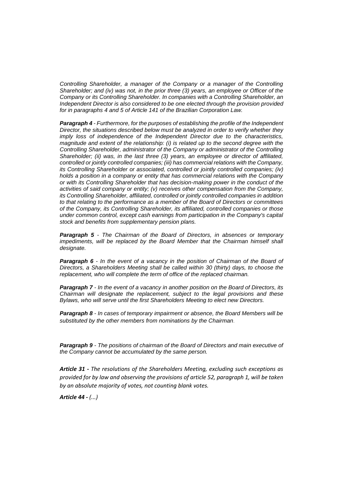*Controlling Shareholder, a manager of the Company or a manager of the Controlling Shareholder; and (iv) was not, in the prior three (3) years, an employee or Officer of the Company or its Controlling Shareholder. In companies with a Controlling Shareholder, an Independent Director is also considered to be one elected through the provision provided for in paragraphs 4 and 5 of Article 141 of the Brazilian Corporation Law.*

*Paragraph 4 - Furthermore, for the purposes of establishing the profile of the Independent Director, the situations described below must be analyzed in order to verify whether they imply loss of independence of the Independent Director due to the characteristics, magnitude and extent of the relationship: (i) is related up to the second degree with the Controlling Shareholder, administrator of the Company or administrator of the Controlling Shareholder; (ii) was, in the last three (3) years, an employee or director of affiliated, controlled or jointly controlled companies; (iii) has commercial relations with the Company, its Controlling Shareholder or associated, controlled or jointly controlled companies; (iv) holds a position in a company or entity that has commercial relations with the Company or with its Controlling Shareholder that has decision-making power in the conduct of the activities of said company or entity; (v) receives other compensation from the Company, its Controlling Shareholder, affiliated, controlled or jointly controlled companies in addition to that relating to the performance as a member of the Board of Directors or committees of the Company, its Controlling Shareholder, its affiliated, controlled companies or those under common control, except cash earnings from participation in the Company's capital stock and benefits from supplementary pension plans.*

*Paragraph 5 - The Chairman of the Board of Directors, in absences or temporary impediments, will be replaced by the Board Member that the Chairman himself shall designate.*

**Paragraph 6** - In the event of a vacancy in the position of Chairman of the Board of *Directors, a Shareholders Meeting shall be called within 30 (thirty) days, to choose the replacement, who will complete the term of office of the replaced chairman.*

*Paragraph 7 - In the event of a vacancy in another position on the Board of Directors, its Chairman will designate the replacement, subject to the legal provisions and these Bylaws, who will serve until the first Shareholders Meeting to elect new Directors.*

*Paragraph 8 - In cases of temporary impairment or absence, the Board Members will be substituted by the other members from nominations by the Chairman*.

*Paragraph 9 - The positions of chairman of the Board of Directors and main executive of the Company cannot be accumulated by the same person.*

*Article 31 - The resolutions of the Shareholders Meeting, excluding such exceptions as provided for by law and observing the provisions of article 52, paragraph 1, will be taken by an absolute majority of votes, not counting blank votes.*

*Article 44 - (...)*